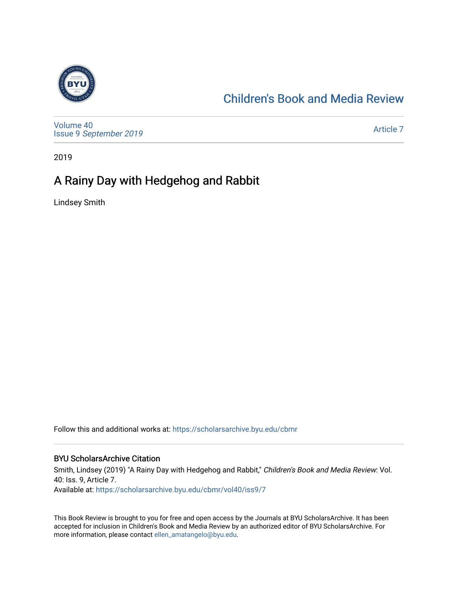

# [Children's Book and Media Review](https://scholarsarchive.byu.edu/cbmr)

[Volume 40](https://scholarsarchive.byu.edu/cbmr/vol40) Issue 9 [September 2019](https://scholarsarchive.byu.edu/cbmr/vol40/iss9) 

[Article 7](https://scholarsarchive.byu.edu/cbmr/vol40/iss9/7) 

2019

# A Rainy Day with Hedgehog and Rabbit

Lindsey Smith

Follow this and additional works at: [https://scholarsarchive.byu.edu/cbmr](https://scholarsarchive.byu.edu/cbmr?utm_source=scholarsarchive.byu.edu%2Fcbmr%2Fvol40%2Fiss9%2F7&utm_medium=PDF&utm_campaign=PDFCoverPages) 

#### BYU ScholarsArchive Citation

Smith, Lindsey (2019) "A Rainy Day with Hedgehog and Rabbit," Children's Book and Media Review: Vol. 40: Iss. 9, Article 7. Available at: [https://scholarsarchive.byu.edu/cbmr/vol40/iss9/7](https://scholarsarchive.byu.edu/cbmr/vol40/iss9/7?utm_source=scholarsarchive.byu.edu%2Fcbmr%2Fvol40%2Fiss9%2F7&utm_medium=PDF&utm_campaign=PDFCoverPages) 

This Book Review is brought to you for free and open access by the Journals at BYU ScholarsArchive. It has been accepted for inclusion in Children's Book and Media Review by an authorized editor of BYU ScholarsArchive. For more information, please contact [ellen\\_amatangelo@byu.edu.](mailto:ellen_amatangelo@byu.edu)